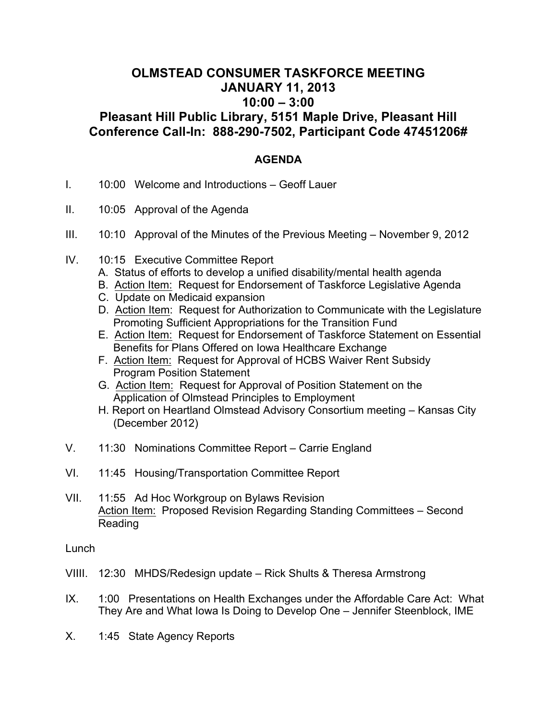## **OLMSTEAD CONSUMER TASKFORCE MEETING JANUARY 11, 2013 10:00 – 3:00 Pleasant Hill Public Library, 5151 Maple Drive, Pleasant Hill**

**Conference Call-In: 888-290-7502, Participant Code 47451206#**

## **AGENDA**

- I. 10:00 Welcome and Introductions Geoff Lauer
- II. 10:05 Approval of the Agenda
- III. 10:10 Approval of the Minutes of the Previous Meeting November 9, 2012
- IV. 10:15 Executive Committee Report
	- A. Status of efforts to develop a unified disability/mental health agenda
	- B. Action Item: Request for Endorsement of Taskforce Legislative Agenda
	- C. Update on Medicaid expansion
	- D. Action Item: Request for Authorization to Communicate with the Legislature Promoting Sufficient Appropriations for the Transition Fund
	- E. Action Item: Request for Endorsement of Taskforce Statement on Essential Benefits for Plans Offered on Iowa Healthcare Exchange
	- F. Action Item: Request for Approval of HCBS Waiver Rent Subsidy Program Position Statement
	- G. Action Item: Request for Approval of Position Statement on the Application of Olmstead Principles to Employment
	- H. Report on Heartland Olmstead Advisory Consortium meeting Kansas City (December 2012)
- V. 11:30 Nominations Committee Report Carrie England
- VI. 11:45 Housing/Transportation Committee Report
- VII. 11:55 Ad Hoc Workgroup on Bylaws Revision Action Item: Proposed Revision Regarding Standing Committees – Second Reading

Lunch

- VIIII. 12:30 MHDS/Redesign update Rick Shults & Theresa Armstrong
- IX. 1:00 Presentations on Health Exchanges under the Affordable Care Act: What They Are and What Iowa Is Doing to Develop One – Jennifer Steenblock, IME
- X. 1:45 State Agency Reports